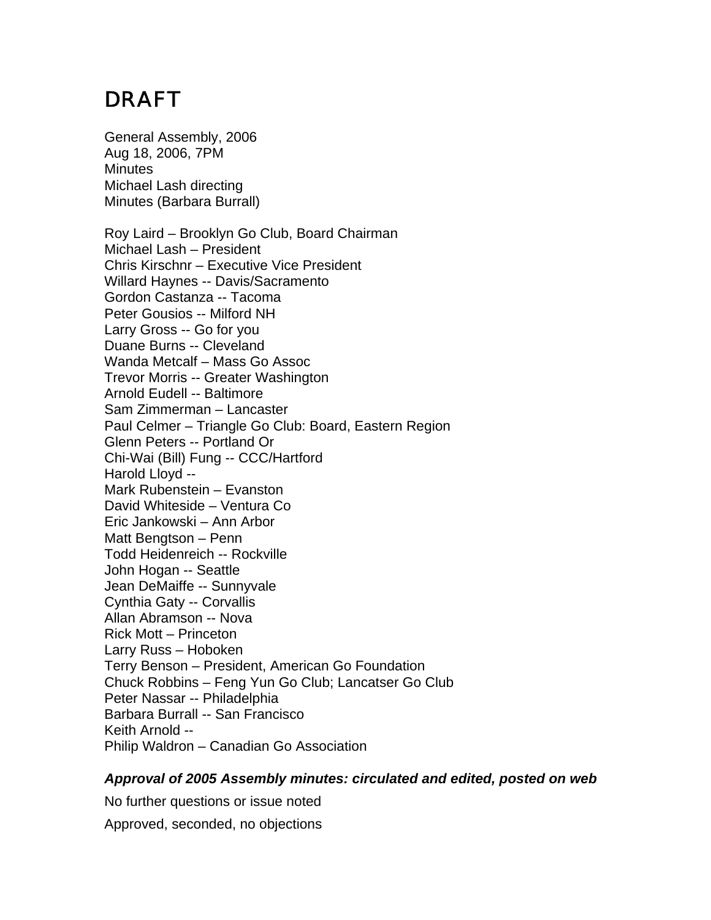# DRAFT

General Assembly, 2006 Aug 18, 2006, 7PM **Minutes** Michael Lash directing Minutes (Barbara Burrall)

Roy Laird – Brooklyn Go Club, Board Chairman Michael Lash – President Chris Kirschnr – Executive Vice President Willard Haynes -- Davis/Sacramento Gordon Castanza -- Tacoma Peter Gousios -- Milford NH Larry Gross -- Go for you Duane Burns -- Cleveland Wanda Metcalf – Mass Go Assoc Trevor Morris -- Greater Washington Arnold Eudell -- Baltimore Sam Zimmerman – Lancaster Paul Celmer – Triangle Go Club: Board, Eastern Region Glenn Peters -- Portland Or Chi-Wai (Bill) Fung -- CCC/Hartford Harold Lloyd -- Mark Rubenstein – Evanston David Whiteside – Ventura Co Eric Jankowski – Ann Arbor Matt Bengtson – Penn Todd Heidenreich -- Rockville John Hogan -- Seattle Jean DeMaiffe -- Sunnyvale Cynthia Gaty -- Corvallis Allan Abramson -- Nova Rick Mott – Princeton Larry Russ – Hoboken Terry Benson – President, American Go Foundation Chuck Robbins – Feng Yun Go Club; Lancatser Go Club Peter Nassar -- Philadelphia Barbara Burrall -- San Francisco Keith Arnold -- Philip Waldron – Canadian Go Association

#### *Approval of 2005 Assembly minutes: circulated and edited, posted on web*

No further questions or issue noted

Approved, seconded, no objections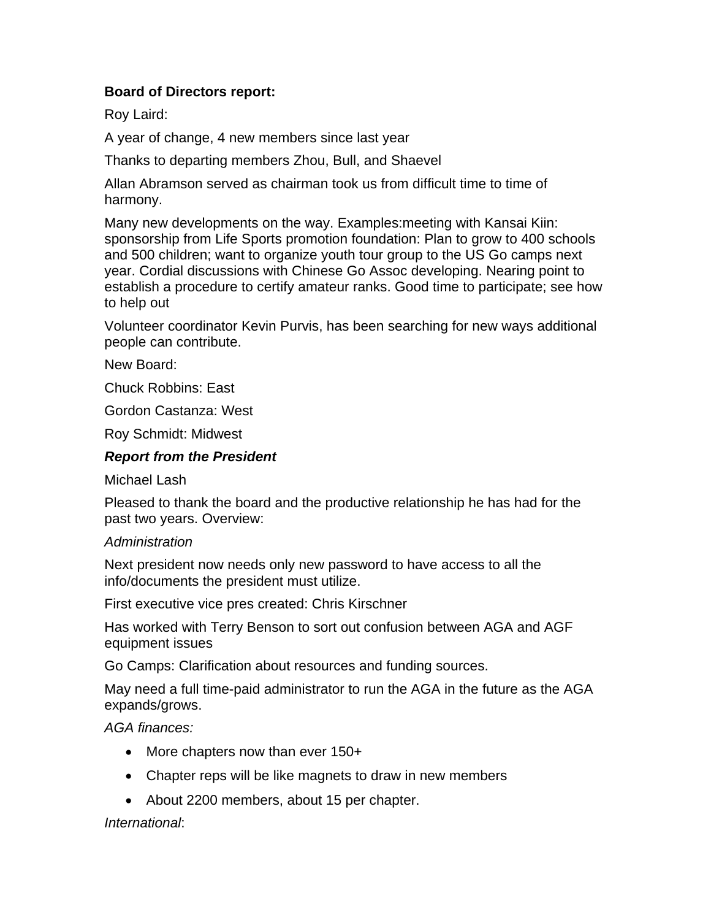## **Board of Directors report:**

Roy Laird:

A year of change, 4 new members since last year

Thanks to departing members Zhou, Bull, and Shaevel

Allan Abramson served as chairman took us from difficult time to time of harmony.

Many new developments on the way. Examples:meeting with Kansai Kiin: sponsorship from Life Sports promotion foundation: Plan to grow to 400 schools and 500 children; want to organize youth tour group to the US Go camps next year. Cordial discussions with Chinese Go Assoc developing. Nearing point to establish a procedure to certify amateur ranks. Good time to participate; see how to help out

Volunteer coordinator Kevin Purvis, has been searching for new ways additional people can contribute.

New Board:

Chuck Robbins: East

Gordon Castanza: West

Roy Schmidt: Midwest

#### *Report from the President*

Michael Lash

Pleased to thank the board and the productive relationship he has had for the past two years. Overview:

#### *Administration*

Next president now needs only new password to have access to all the info/documents the president must utilize.

First executive vice pres created: Chris Kirschner

Has worked with Terry Benson to sort out confusion between AGA and AGF equipment issues

Go Camps: Clarification about resources and funding sources.

May need a full time-paid administrator to run the AGA in the future as the AGA expands/grows.

*AGA finances:*

- More chapters now than ever 150+
- Chapter reps will be like magnets to draw in new members
- About 2200 members, about 15 per chapter.

#### *International*: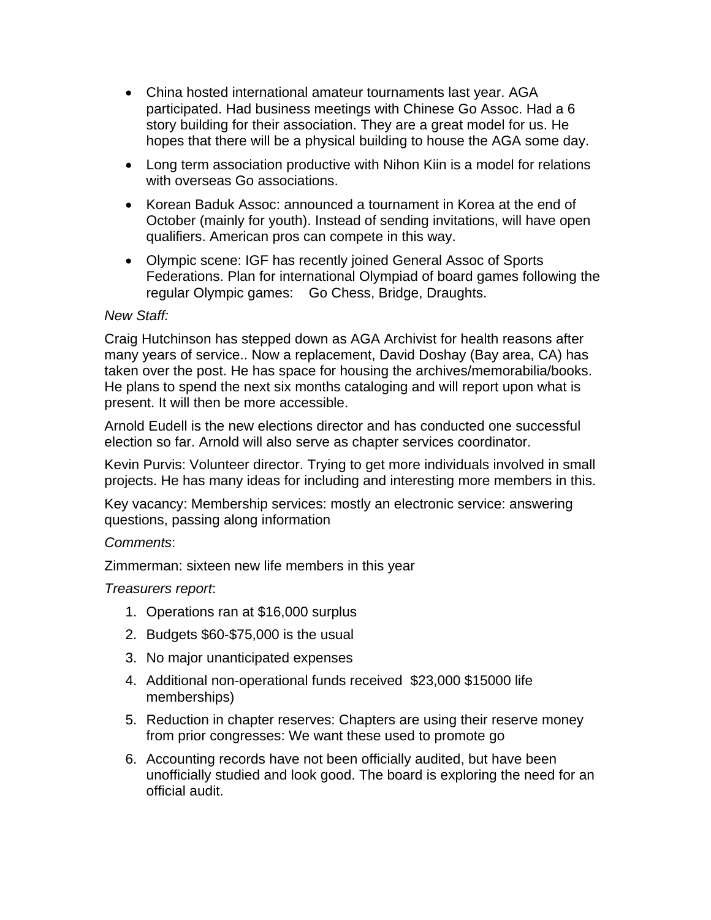- China hosted international amateur tournaments last year. AGA participated. Had business meetings with Chinese Go Assoc. Had a 6 story building for their association. They are a great model for us. He hopes that there will be a physical building to house the AGA some day.
- Long term association productive with Nihon Kiin is a model for relations with overseas Go associations.
- Korean Baduk Assoc: announced a tournament in Korea at the end of October (mainly for youth). Instead of sending invitations, will have open qualifiers. American pros can compete in this way.
- Olympic scene: IGF has recently joined General Assoc of Sports Federations. Plan for international Olympiad of board games following the regular Olympic games: Go Chess, Bridge, Draughts.

#### *New Staff:*

Craig Hutchinson has stepped down as AGA Archivist for health reasons after many years of service.. Now a replacement, David Doshay (Bay area, CA) has taken over the post. He has space for housing the archives/memorabilia/books. He plans to spend the next six months cataloging and will report upon what is present. It will then be more accessible.

Arnold Eudell is the new elections director and has conducted one successful election so far. Arnold will also serve as chapter services coordinator.

Kevin Purvis: Volunteer director. Trying to get more individuals involved in small projects. He has many ideas for including and interesting more members in this.

Key vacancy: Membership services: mostly an electronic service: answering questions, passing along information

#### *Comments*:

Zimmerman: sixteen new life members in this year

#### *Treasurers report*:

- 1. Operations ran at \$16,000 surplus
- 2. Budgets \$60-\$75,000 is the usual
- 3. No major unanticipated expenses
- 4. Additional non-operational funds received \$23,000 \$15000 life memberships)
- 5. Reduction in chapter reserves: Chapters are using their reserve money from prior congresses: We want these used to promote go
- 6. Accounting records have not been officially audited, but have been unofficially studied and look good. The board is exploring the need for an official audit.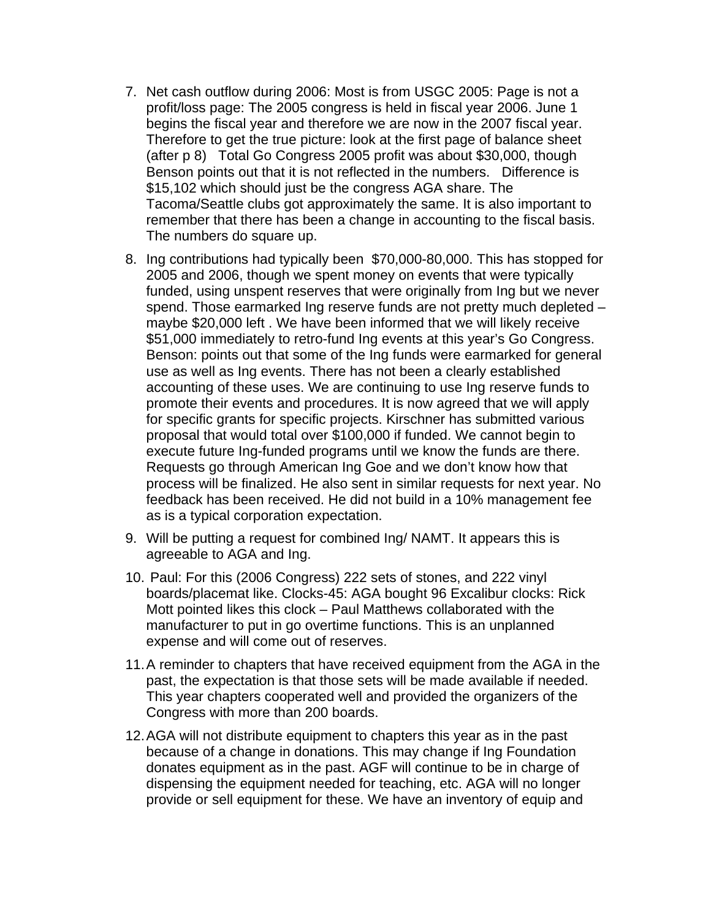- 7. Net cash outflow during 2006: Most is from USGC 2005: Page is not a profit/loss page: The 2005 congress is held in fiscal year 2006. June 1 begins the fiscal year and therefore we are now in the 2007 fiscal year. Therefore to get the true picture: look at the first page of balance sheet (after p 8) Total Go Congress 2005 profit was about \$30,000, though Benson points out that it is not reflected in the numbers. Difference is \$15,102 which should just be the congress AGA share. The Tacoma/Seattle clubs got approximately the same. It is also important to remember that there has been a change in accounting to the fiscal basis. The numbers do square up.
- 8. Ing contributions had typically been \$70,000-80,000. This has stopped for 2005 and 2006, though we spent money on events that were typically funded, using unspent reserves that were originally from Ing but we never spend. Those earmarked Ing reserve funds are not pretty much depleted – maybe \$20,000 left . We have been informed that we will likely receive \$51,000 immediately to retro-fund Ing events at this year's Go Congress. Benson: points out that some of the Ing funds were earmarked for general use as well as Ing events. There has not been a clearly established accounting of these uses. We are continuing to use Ing reserve funds to promote their events and procedures. It is now agreed that we will apply for specific grants for specific projects. Kirschner has submitted various proposal that would total over \$100,000 if funded. We cannot begin to execute future Ing-funded programs until we know the funds are there. Requests go through American Ing Goe and we don't know how that process will be finalized. He also sent in similar requests for next year. No feedback has been received. He did not build in a 10% management fee as is a typical corporation expectation.
- 9. Will be putting a request for combined Ing/ NAMT. It appears this is agreeable to AGA and Ing.
- 10. Paul: For this (2006 Congress) 222 sets of stones, and 222 vinyl boards/placemat like. Clocks-45: AGA bought 96 Excalibur clocks: Rick Mott pointed likes this clock – Paul Matthews collaborated with the manufacturer to put in go overtime functions. This is an unplanned expense and will come out of reserves.
- 11. A reminder to chapters that have received equipment from the AGA in the past, the expectation is that those sets will be made available if needed. This year chapters cooperated well and provided the organizers of the Congress with more than 200 boards.
- 12. AGA will not distribute equipment to chapters this year as in the past because of a change in donations. This may change if Ing Foundation donates equipment as in the past. AGF will continue to be in charge of dispensing the equipment needed for teaching, etc. AGA will no longer provide or sell equipment for these. We have an inventory of equip and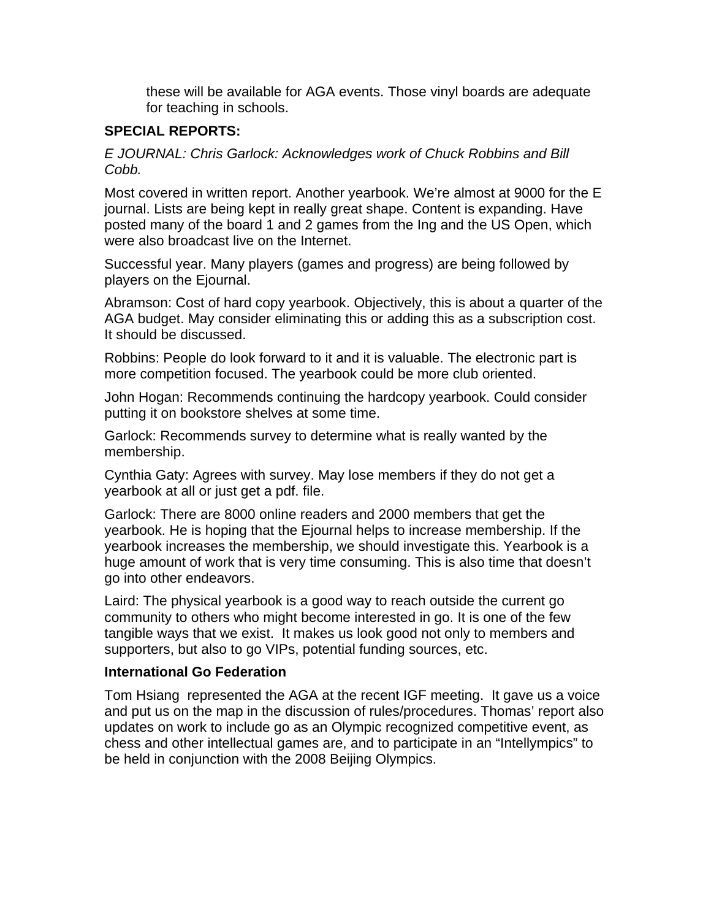these will be available for AGA events. Those vinyl boards are adequate for teaching in schools.

## **SPECIAL REPORTS:**

*E JOURNAL: Chris Garlock: Acknowledges work of Chuck Robbins and Bill Cobb.*

Most covered in written report. Another yearbook. We're almost at 9000 for the E journal. Lists are being kept in really great shape. Content is expanding. Have posted many of the board 1 and 2 games from the Ing and the US Open, which were also broadcast live on the Internet.

Successful year. Many players (games and progress) are being followed by players on the Ejournal.

Abramson: Cost of hard copy yearbook. Objectively, this is about a quarter of the AGA budget. May consider eliminating this or adding this as a subscription cost. It should be discussed.

Robbins: People do look forward to it and it is valuable. The electronic part is more competition focused. The yearbook could be more club oriented.

John Hogan: Recommends continuing the hardcopy yearbook. Could consider putting it on bookstore shelves at some time.

Garlock: Recommends survey to determine what is really wanted by the membership.

Cynthia Gaty: Agrees with survey. May lose members if they do not get a yearbook at all or just get a pdf. file.

Garlock: There are 8000 online readers and 2000 members that get the yearbook. He is hoping that the Ejournal helps to increase membership. If the yearbook increases the membership, we should investigate this. Yearbook is a huge amount of work that is very time consuming. This is also time that doesn't go into other endeavors.

Laird: The physical yearbook is a good way to reach outside the current go community to others who might become interested in go. It is one of the few tangible ways that we exist. It makes us look good not only to members and supporters, but also to go VIPs, potential funding sources, etc.

#### **International Go Federation**

Tom Hsiang represented the AGA at the recent IGF meeting. It gave us a voice and put us on the map in the discussion of rules/procedures. Thomas' report also updates on work to include go as an Olympic recognized competitive event, as chess and other intellectual games are, and to participate in an "Intellympics" to be held in conjunction with the 2008 Beijing Olympics.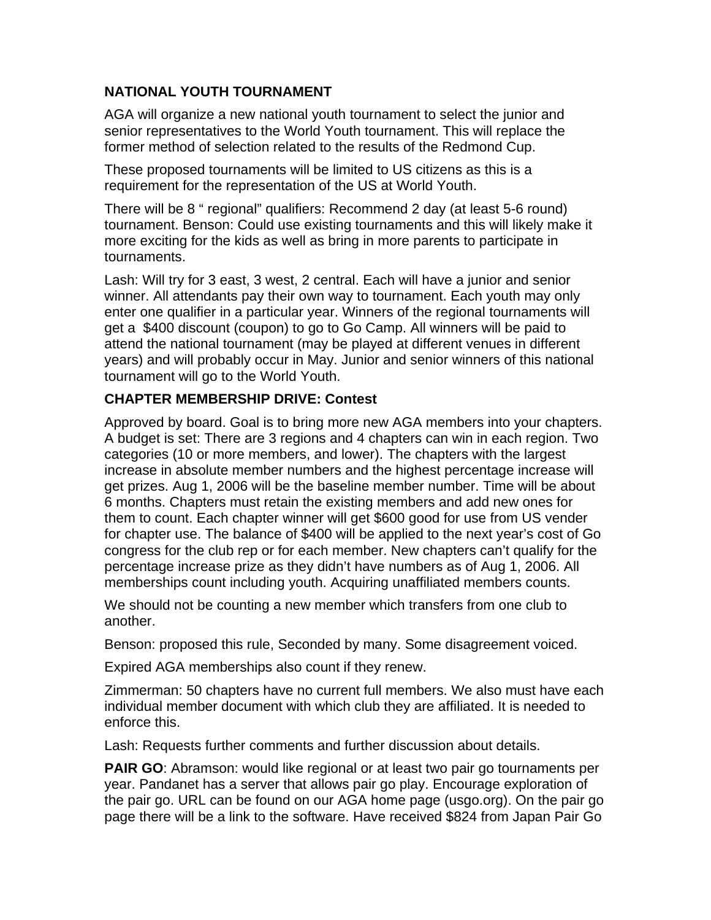## **NATIONAL YOUTH TOURNAMENT**

AGA will organize a new national youth tournament to select the junior and senior representatives to the World Youth tournament. This will replace the former method of selection related to the results of the Redmond Cup.

These proposed tournaments will be limited to US citizens as this is a requirement for the representation of the US at World Youth.

There will be 8 " regional" qualifiers: Recommend 2 day (at least 5-6 round) tournament. Benson: Could use existing tournaments and this will likely make it more exciting for the kids as well as bring in more parents to participate in tournaments.

Lash: Will try for 3 east, 3 west, 2 central. Each will have a junior and senior winner. All attendants pay their own way to tournament. Each youth may only enter one qualifier in a particular year. Winners of the regional tournaments will get a \$400 discount (coupon) to go to Go Camp. All winners will be paid to attend the national tournament (may be played at different venues in different years) and will probably occur in May. Junior and senior winners of this national tournament will go to the World Youth.

## **CHAPTER MEMBERSHIP DRIVE: Contest**

Approved by board. Goal is to bring more new AGA members into your chapters. A budget is set: There are 3 regions and 4 chapters can win in each region. Two categories (10 or more members, and lower). The chapters with the largest increase in absolute member numbers and the highest percentage increase will get prizes. Aug 1, 2006 will be the baseline member number. Time will be about 6 months. Chapters must retain the existing members and add new ones for them to count. Each chapter winner will get \$600 good for use from US vender for chapter use. The balance of \$400 will be applied to the next year's cost of Go congress for the club rep or for each member. New chapters can't qualify for the percentage increase prize as they didn't have numbers as of Aug 1, 2006. All memberships count including youth. Acquiring unaffiliated members counts.

We should not be counting a new member which transfers from one club to another.

Benson: proposed this rule, Seconded by many. Some disagreement voiced.

Expired AGA memberships also count if they renew.

Zimmerman: 50 chapters have no current full members. We also must have each individual member document with which club they are affiliated. It is needed to enforce this.

Lash: Requests further comments and further discussion about details.

**PAIR GO**: Abramson: would like regional or at least two pair go tournaments per year. Pandanet has a server that allows pair go play. Encourage exploration of the pair go. URL can be found on our AGA home page (usgo.org). On the pair go page there will be a link to the software. Have received \$824 from Japan Pair Go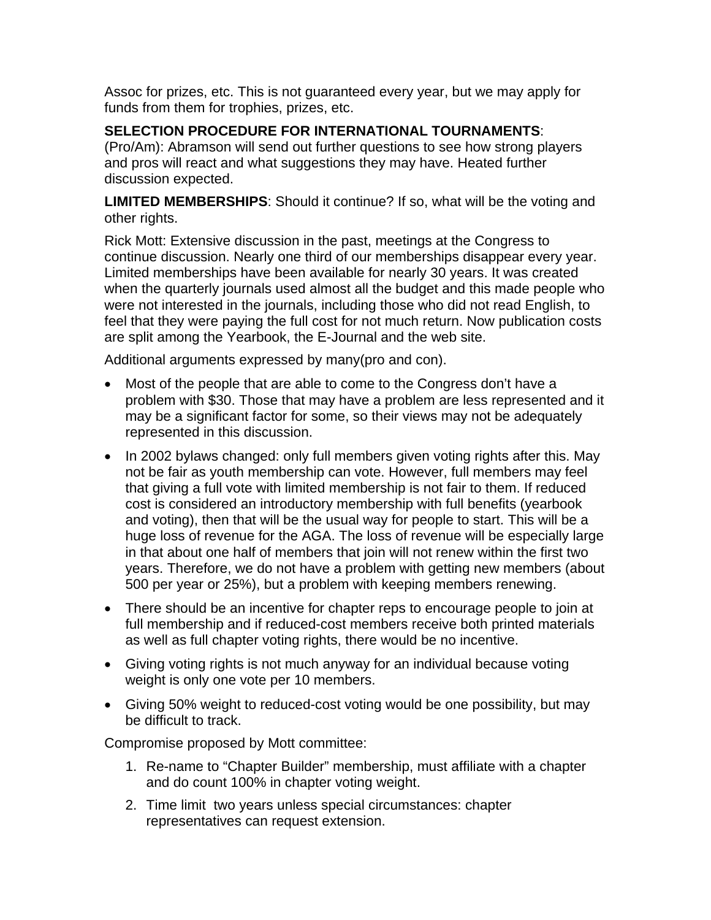Assoc for prizes, etc. This is not guaranteed every year, but we may apply for funds from them for trophies, prizes, etc.

## **SELECTION PROCEDURE FOR INTERNATIONAL TOURNAMENTS**:

(Pro/Am): Abramson will send out further questions to see how strong players and pros will react and what suggestions they may have. Heated further discussion expected.

**LIMITED MEMBERSHIPS**: Should it continue? If so, what will be the voting and other rights.

Rick Mott: Extensive discussion in the past, meetings at the Congress to continue discussion. Nearly one third of our memberships disappear every year. Limited memberships have been available for nearly 30 years. It was created when the quarterly journals used almost all the budget and this made people who were not interested in the journals, including those who did not read English, to feel that they were paying the full cost for not much return. Now publication costs are split among the Yearbook, the E-Journal and the web site.

Additional arguments expressed by many(pro and con).

- Most of the people that are able to come to the Congress don't have a problem with \$30. Those that may have a problem are less represented and it may be a significant factor for some, so their views may not be adequately represented in this discussion.
- In 2002 bylaws changed: only full members given voting rights after this. May not be fair as youth membership can vote. However, full members may feel that giving a full vote with limited membership is not fair to them. If reduced cost is considered an introductory membership with full benefits (yearbook and voting), then that will be the usual way for people to start. This will be a huge loss of revenue for the AGA. The loss of revenue will be especially large in that about one half of members that join will not renew within the first two years. Therefore, we do not have a problem with getting new members (about 500 per year or 25%), but a problem with keeping members renewing.
- There should be an incentive for chapter reps to encourage people to join at full membership and if reduced-cost members receive both printed materials as well as full chapter voting rights, there would be no incentive.
- Giving voting rights is not much anyway for an individual because voting weight is only one vote per 10 members.
- Giving 50% weight to reduced-cost voting would be one possibility, but may be difficult to track.

Compromise proposed by Mott committee:

- 1. Re-name to "Chapter Builder" membership, must affiliate with a chapter and do count 100% in chapter voting weight.
- 2. Time limit two years unless special circumstances: chapter representatives can request extension.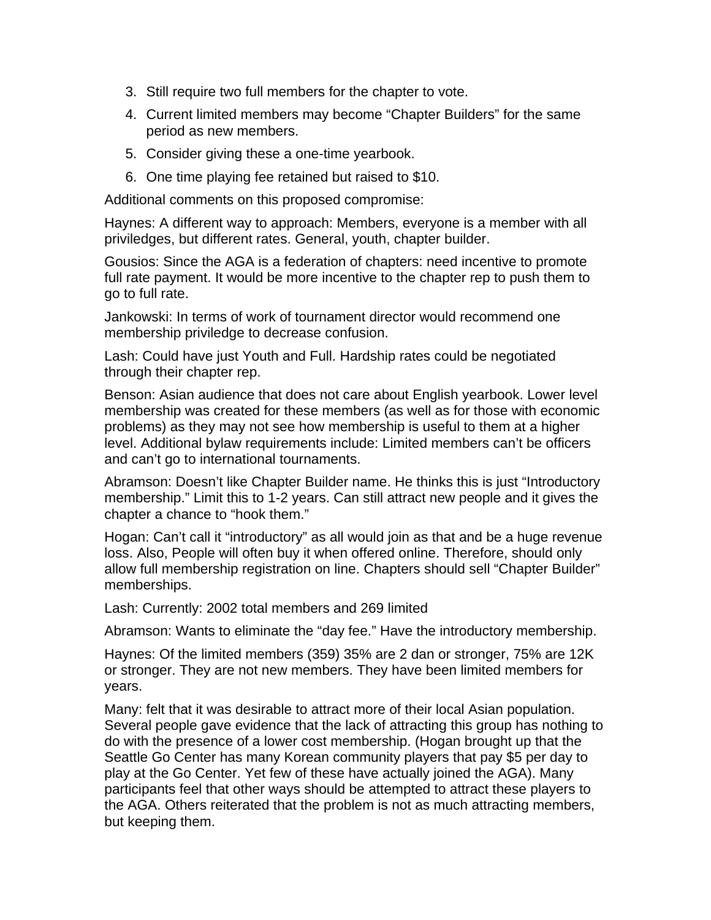- 3. Still require two full members for the chapter to vote.
- 4. Current limited members may become "Chapter Builders" for the same period as new members.
- 5. Consider giving these a one-time yearbook.
- 6. One time playing fee retained but raised to \$10.

Additional comments on this proposed compromise:

Haynes: A different way to approach: Members, everyone is a member with all priviledges, but different rates. General, youth, chapter builder.

Gousios: Since the AGA is a federation of chapters: need incentive to promote full rate payment. It would be more incentive to the chapter rep to push them to go to full rate.

Jankowski: In terms of work of tournament director would recommend one membership priviledge to decrease confusion.

Lash: Could have just Youth and Full. Hardship rates could be negotiated through their chapter rep.

Benson: Asian audience that does not care about English yearbook. Lower level membership was created for these members (as well as for those with economic problems) as they may not see how membership is useful to them at a higher level. Additional bylaw requirements include: Limited members can't be officers and can't go to international tournaments.

Abramson: Doesn't like Chapter Builder name. He thinks this is just "Introductory membership." Limit this to 1-2 years. Can still attract new people and it gives the chapter a chance to "hook them."

Hogan: Can't call it "introductory" as all would join as that and be a huge revenue loss. Also, People will often buy it when offered online. Therefore, should only allow full membership registration on line. Chapters should sell "Chapter Builder" memberships.

Lash: Currently: 2002 total members and 269 limited

Abramson: Wants to eliminate the "day fee." Have the introductory membership.

Haynes: Of the limited members (359) 35% are 2 dan or stronger, 75% are 12K or stronger. They are not new members. They have been limited members for years.

Many: felt that it was desirable to attract more of their local Asian population. Several people gave evidence that the lack of attracting this group has nothing to do with the presence of a lower cost membership. (Hogan brought up that the Seattle Go Center has many Korean community players that pay \$5 per day to play at the Go Center. Yet few of these have actually joined the AGA). Many participants feel that other ways should be attempted to attract these players to the AGA. Others reiterated that the problem is not as much attracting members, but keeping them.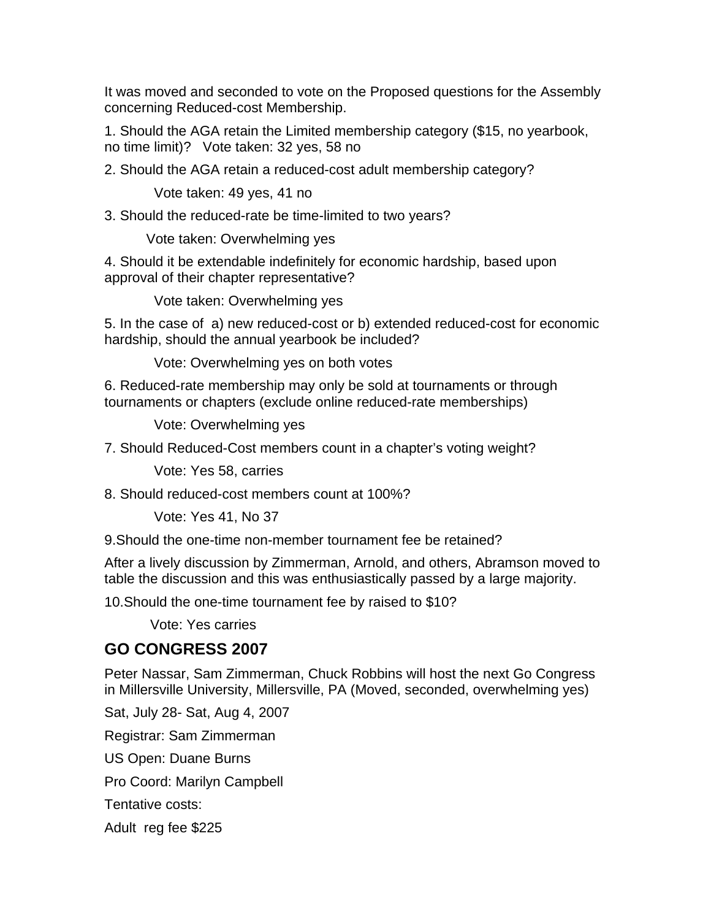It was moved and seconded to vote on the Proposed questions for the Assembly concerning Reduced-cost Membership.

1. Should the AGA retain the Limited membership category (\$15, no yearbook, no time limit)? Vote taken: 32 yes, 58 no

2. Should the AGA retain a reduced-cost adult membership category?

Vote taken: 49 yes, 41 no

3. Should the reduced-rate be time-limited to two years?

Vote taken: Overwhelming yes

4. Should it be extendable indefinitely for economic hardship, based upon approval of their chapter representative?

Vote taken: Overwhelming yes

5. In the case of a) new reduced-cost or b) extended reduced-cost for economic hardship, should the annual yearbook be included?

Vote: Overwhelming yes on both votes

6. Reduced-rate membership may only be sold at tournaments or through tournaments or chapters (exclude online reduced-rate memberships)

Vote: Overwhelming yes

7. Should Reduced-Cost members count in a chapter's voting weight?

Vote: Yes 58, carries

8. Should reduced-cost members count at 100%?

Vote: Yes 41, No 37

9.Should the one-time non-member tournament fee be retained?

After a lively discussion by Zimmerman, Arnold, and others, Abramson moved to table the discussion and this was enthusiastically passed by a large majority.

10.Should the one-time tournament fee by raised to \$10?

Vote: Yes carries

## **GO CONGRESS 2007**

Peter Nassar, Sam Zimmerman, Chuck Robbins will host the next Go Congress in Millersville University, Millersville, PA (Moved, seconded, overwhelming yes)

Sat, July 28- Sat, Aug 4, 2007

Registrar: Sam Zimmerman

US Open: Duane Burns

Pro Coord: Marilyn Campbell

Tentative costs:

Adult reg fee \$225